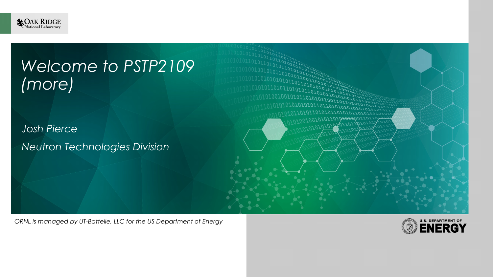

# *Welcome to PSTP2109 (more)*

*Josh Pierce Neutron Technologies Division*

*ORNL is managed by UT-Battelle, LLC for the US Department of Energy*

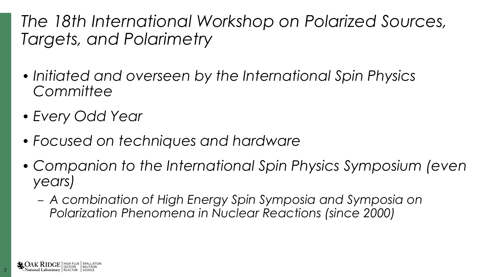*The 18th International Workshop on Polarized Sources, Targets, and Polarimetry*

- *• Initiated and overseen by the International Spin Physics Committee*
- *• Every Odd Year*
- *• Focused on techniques and hardware*
- *• Companion to the International Spin Physics Symposium (even years)*
	- *– A combination of High Energy Spin Symposia and Symposia on Polarization Phenomena in Nuclear Reactions (since 2000)*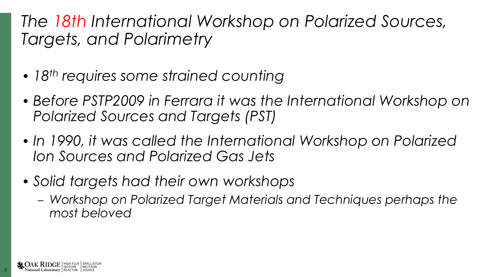#### *The 18th International Workshop on Polarized Sources, Targets, and Polarimetry*

- *• 18th requires some strained counting*
- *• Before PSTP2009 in Ferrara it was the International Workshop on Polarized Sources and Targets (PST)*
- In 1990, it was called the International Workshop on Polarized *Ion Sources and Polarized Gas Jets*
- *• Solid targets had their own workshops*
	- *– Workshop on Polarized Target Materials and Techniques perhaps the most beloved*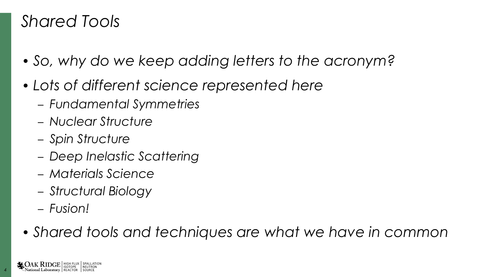#### *Shared Tools*

- *• So, why do we keep adding letters to the acronym?*
- *• Lots of different science represented here*
	- *– Fundamental Symmetries*
	- *– Nuclear Structure*
	- *– Spin Structure*
	- *– Deep Inelastic Scattering*
	- *– Materials Science*
	- *– Structural Biology*
	- *– Fusion!*
- *• Shared tools and techniques are what we have in common*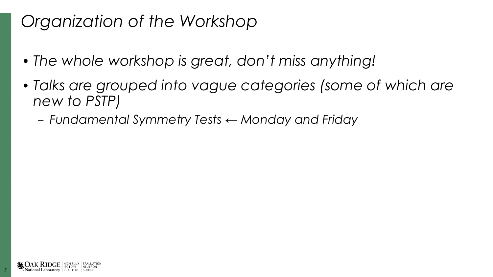- *• The whole workshop is great, don't miss anything!*
- *• Talks are grouped into vague categories (some of which are new to PSTP)*
	- *– Fundamental Symmetry Tests ← Monday and Friday*

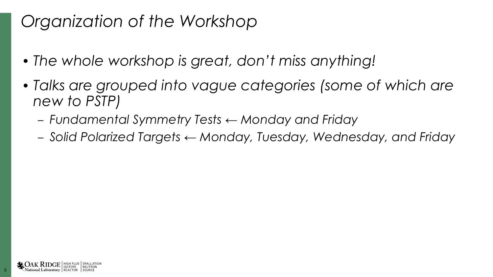- *• The whole workshop is great, don't miss anything!*
- *• Talks are grouped into vague categories (some of which are new to PSTP)*
	- *– Fundamental Symmetry Tests ← Monday and Friday*
	- *– Solid Polarized Targets ← Monday, Tuesday, Wednesday, and Friday*

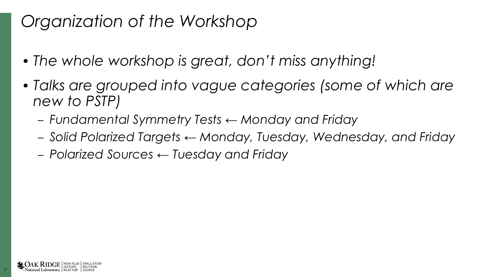- *• The whole workshop is great, don't miss anything!*
- *• Talks are grouped into vague categories (some of which are new to PSTP)*
	- *– Fundamental Symmetry Tests ← Monday and Friday*
	- *– Solid Polarized Targets ← Monday, Tuesday, Wednesday, and Friday*
	- *– Polarized Sources ← Tuesday and Friday*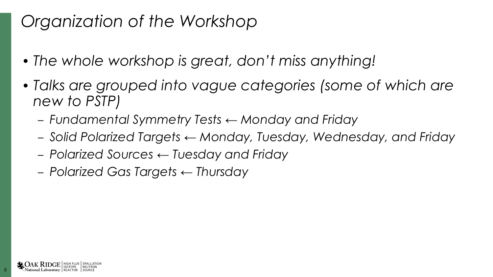- *• The whole workshop is great, don't miss anything!*
- *• Talks are grouped into vague categories (some of which are new to PSTP)*
	- *– Fundamental Symmetry Tests ← Monday and Friday*
	- *– Solid Polarized Targets ← Monday, Tuesday, Wednesday, and Friday*
	- *– Polarized Sources ← Tuesday and Friday*
	- *– Polarized Gas Targets ← Thursday*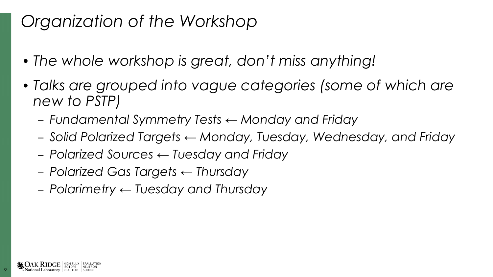- *• The whole workshop is great, don't miss anything!*
- *• Talks are grouped into vague categories (some of which are new to PSTP)*
	- *– Fundamental Symmetry Tests ← Monday and Friday*
	- *– Solid Polarized Targets ← Monday, Tuesday, Wednesday, and Friday*
	- *– Polarized Sources ← Tuesday and Friday*
	- *– Polarized Gas Targets ← Thursday*
	- *– Polarimetry ← Tuesday and Thursday*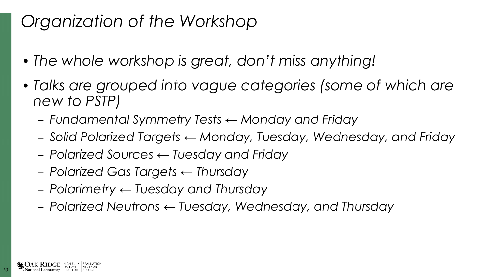- *• The whole workshop is great, don't miss anything!*
- *• Talks are grouped into vague categories (some of which are new to PSTP)*
	- *– Fundamental Symmetry Tests ← Monday and Friday*
	- *– Solid Polarized Targets ← Monday, Tuesday, Wednesday, and Friday*
	- *– Polarized Sources ← Tuesday and Friday*
	- *– Polarized Gas Targets ← Thursday*
	- *– Polarimetry ← Tuesday and Thursday*
	- *– Polarized Neutrons ← Tuesday, Wednesday, and Thursday*

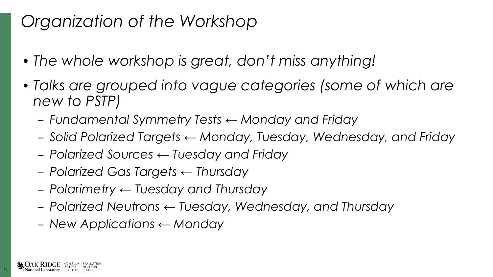- *• The whole workshop is great, don't miss anything!*
- *• Talks are grouped into vague categories (some of which are new to PSTP)*
	- *– Fundamental Symmetry Tests ← Monday and Friday*
	- *– Solid Polarized Targets ← Monday, Tuesday, Wednesday, and Friday*
	- *– Polarized Sources ← Tuesday and Friday*
	- *– Polarized Gas Targets ← Thursday*
	- *– Polarimetry ← Tuesday and Thursday*
	- *– Polarized Neutrons ← Tuesday, Wednesday, and Thursday*
	- *– New Applications ← Monday*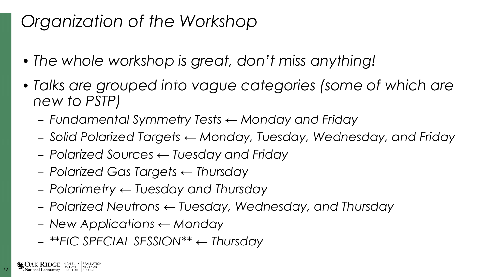- *• The whole workshop is great, don't miss anything!*
- *• Talks are grouped into vague categories (some of which are new to PSTP)*
	- *– Fundamental Symmetry Tests ← Monday and Friday*
	- *– Solid Polarized Targets ← Monday, Tuesday, Wednesday, and Friday*
	- *– Polarized Sources ← Tuesday and Friday*
	- *– Polarized Gas Targets ← Thursday*
	- *– Polarimetry ← Tuesday and Thursday*
	- *– Polarized Neutrons ← Tuesday, Wednesday, and Thursday*
	- *– New Applications ← Monday*
	- *– \*\*EIC SPECIAL SESSION\*\* ← Thursday*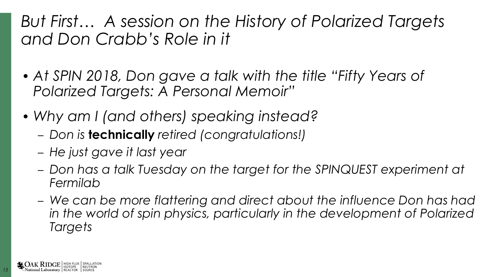#### *But First… A session on the History of Polarized Targets and Don Crabb's Role in it*

- *• At SPIN 2018, Don gave a talk with the title "Fifty Years of Polarized Targets: A Personal Memoir"*
- *• Why am I (and others) speaking instead?*
	- *– Don is* **technically** *retired (congratulations!)*
	- *– He just gave it last year*
	- *– Don has a talk Tuesday on the target for the SPINQUEST experiment at Fermilab*
	- *– We can be more flattering and direct about the influence Don has had in the world of spin physics, particularly in the development of Polarized Targets*